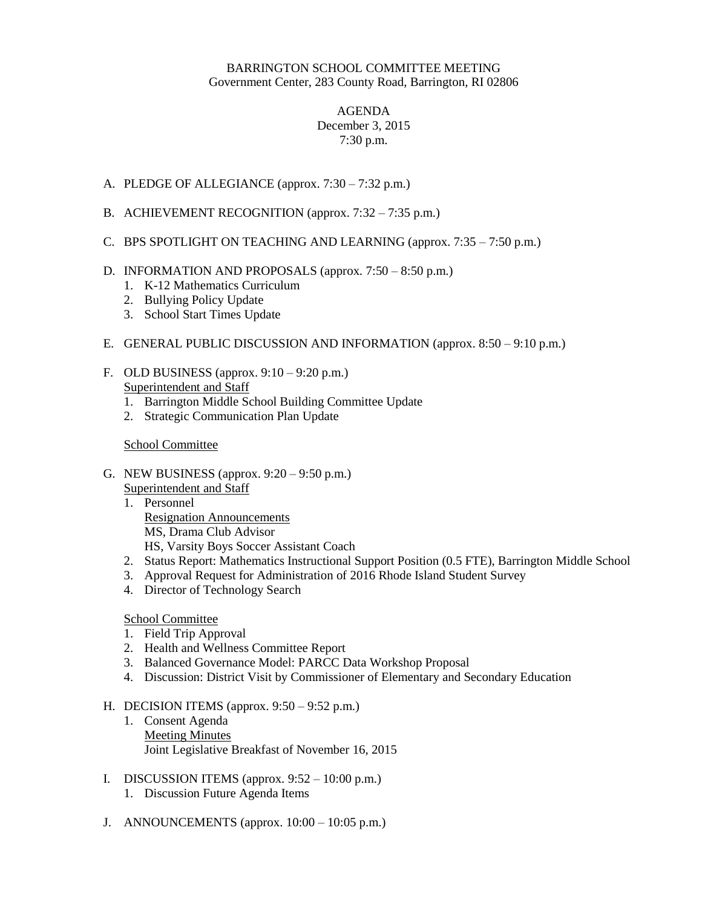# BARRINGTON SCHOOL COMMITTEE MEETING Government Center, 283 County Road, Barrington, RI 02806

## AGENDA December 3, 2015 7:30 p.m.

- A. PLEDGE OF ALLEGIANCE (approx. 7:30 7:32 p.m.)
- B. ACHIEVEMENT RECOGNITION (approx. 7:32 7:35 p.m.)
- C. BPS SPOTLIGHT ON TEACHING AND LEARNING (approx. 7:35 7:50 p.m.)

### D. INFORMATION AND PROPOSALS (approx. 7:50 – 8:50 p.m.)

- 1. K-12 Mathematics Curriculum
- 2. Bullying Policy Update
- 3. School Start Times Update
- E. GENERAL PUBLIC DISCUSSION AND INFORMATION (approx. 8:50 9:10 p.m.)
- F. OLD BUSINESS (approx. 9:10 9:20 p.m.) Superintendent and Staff
	- 1. Barrington Middle School Building Committee Update
	- 2. Strategic Communication Plan Update

# School Committee

- G. NEW BUSINESS (approx. 9:20 9:50 p.m.)
	- Superintendent and Staff
	- 1. Personnel Resignation Announcements MS, Drama Club Advisor HS, Varsity Boys Soccer Assistant Coach
	- 2. Status Report: Mathematics Instructional Support Position (0.5 FTE), Barrington Middle School
	- 3. Approval Request for Administration of 2016 Rhode Island Student Survey
	- 4. Director of Technology Search

### School Committee

- 1. Field Trip Approval
- 2. Health and Wellness Committee Report
- 3. Balanced Governance Model: PARCC Data Workshop Proposal
- 4. Discussion: District Visit by Commissioner of Elementary and Secondary Education

### H. DECISION ITEMS (approx. 9:50 – 9:52 p.m.)

- 1. Consent Agenda Meeting Minutes Joint Legislative Breakfast of November 16, 2015
- I. DISCUSSION ITEMS (approx.  $9:52 10:00$  p.m.)
	- 1. Discussion Future Agenda Items
- J. ANNOUNCEMENTS (approx.  $10:00 10:05$  p.m.)